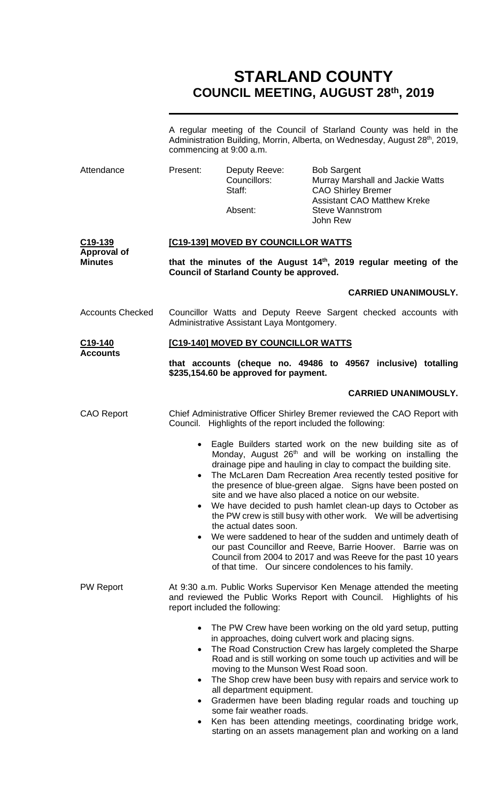## **STARLAND COUNTY COUNCIL MEETING, AUGUST 28th, 2019**

|                                         | A regular meeting of the Council of Starland County was held in the<br>Administration Building, Morrin, Alberta, on Wednesday, August 28th, 2019,<br>commencing at 9:00 a.m.                                                                                                                                                                                                                                                                                                                                                                                                                                                                                                                                           |                                                                                               |                                                                                                                                                                                                                                                                                                                                                                                                                                                      |  |  |
|-----------------------------------------|------------------------------------------------------------------------------------------------------------------------------------------------------------------------------------------------------------------------------------------------------------------------------------------------------------------------------------------------------------------------------------------------------------------------------------------------------------------------------------------------------------------------------------------------------------------------------------------------------------------------------------------------------------------------------------------------------------------------|-----------------------------------------------------------------------------------------------|------------------------------------------------------------------------------------------------------------------------------------------------------------------------------------------------------------------------------------------------------------------------------------------------------------------------------------------------------------------------------------------------------------------------------------------------------|--|--|
| Attendance                              | Present:                                                                                                                                                                                                                                                                                                                                                                                                                                                                                                                                                                                                                                                                                                               | Deputy Reeve:<br>Councillors:<br>Staff:                                                       | <b>Bob Sargent</b><br>Murray Marshall and Jackie Watts<br><b>CAO Shirley Bremer</b><br><b>Assistant CAO Matthew Kreke</b>                                                                                                                                                                                                                                                                                                                            |  |  |
|                                         |                                                                                                                                                                                                                                                                                                                                                                                                                                                                                                                                                                                                                                                                                                                        | Absent:                                                                                       | <b>Steve Wannstrom</b><br>John Rew                                                                                                                                                                                                                                                                                                                                                                                                                   |  |  |
| C <sub>19</sub> -139                    | [C19-139] MOVED BY COUNCILLOR WATTS                                                                                                                                                                                                                                                                                                                                                                                                                                                                                                                                                                                                                                                                                    |                                                                                               |                                                                                                                                                                                                                                                                                                                                                                                                                                                      |  |  |
| <b>Approval of</b><br><b>Minutes</b>    | that the minutes of the August 14 <sup>th</sup> , 2019 regular meeting of the<br><b>Council of Starland County be approved.</b>                                                                                                                                                                                                                                                                                                                                                                                                                                                                                                                                                                                        |                                                                                               |                                                                                                                                                                                                                                                                                                                                                                                                                                                      |  |  |
|                                         |                                                                                                                                                                                                                                                                                                                                                                                                                                                                                                                                                                                                                                                                                                                        |                                                                                               | <b>CARRIED UNANIMOUSLY.</b>                                                                                                                                                                                                                                                                                                                                                                                                                          |  |  |
| <b>Accounts Checked</b>                 | Councillor Watts and Deputy Reeve Sargent checked accounts with<br>Administrative Assistant Laya Montgomery.                                                                                                                                                                                                                                                                                                                                                                                                                                                                                                                                                                                                           |                                                                                               |                                                                                                                                                                                                                                                                                                                                                                                                                                                      |  |  |
| C <sub>19</sub> -140<br><b>Accounts</b> | [C19-140] MOVED BY COUNCILLOR WATTS                                                                                                                                                                                                                                                                                                                                                                                                                                                                                                                                                                                                                                                                                    |                                                                                               |                                                                                                                                                                                                                                                                                                                                                                                                                                                      |  |  |
|                                         | that accounts (cheque no. 49486 to 49567 inclusive) totalling<br>\$235,154.60 be approved for payment.                                                                                                                                                                                                                                                                                                                                                                                                                                                                                                                                                                                                                 |                                                                                               |                                                                                                                                                                                                                                                                                                                                                                                                                                                      |  |  |
|                                         |                                                                                                                                                                                                                                                                                                                                                                                                                                                                                                                                                                                                                                                                                                                        |                                                                                               | <b>CARRIED UNANIMOUSLY.</b>                                                                                                                                                                                                                                                                                                                                                                                                                          |  |  |
| <b>CAO Report</b>                       |                                                                                                                                                                                                                                                                                                                                                                                                                                                                                                                                                                                                                                                                                                                        |                                                                                               | Chief Administrative Officer Shirley Bremer reviewed the CAO Report with<br>Council. Highlights of the report included the following:                                                                                                                                                                                                                                                                                                                |  |  |
|                                         | Eagle Builders started work on the new building site as of<br>$\bullet$<br>Monday, August 26th and will be working on installing the<br>drainage pipe and hauling in clay to compact the building site.<br>The McLaren Dam Recreation Area recently tested positive for<br>$\bullet$<br>the presence of blue-green algae. Signs have been posted on<br>site and we have also placed a notice on our website.<br>We have decided to push hamlet clean-up days to October as<br>$\bullet$<br>the PW crew is still busy with other work.  We will be advertising<br>the actual dates soon.<br>We were saddened to hear of the sudden and untimely death of<br>our past Councillor and Reeve, Barrie Hoover. Barrie was on |                                                                                               |                                                                                                                                                                                                                                                                                                                                                                                                                                                      |  |  |
|                                         |                                                                                                                                                                                                                                                                                                                                                                                                                                                                                                                                                                                                                                                                                                                        |                                                                                               | Council from 2004 to 2017 and was Reeve for the past 10 years<br>of that time. Our sincere condolences to his family.                                                                                                                                                                                                                                                                                                                                |  |  |
| <b>PW Report</b>                        | At 9:30 a.m. Public Works Supervisor Ken Menage attended the meeting<br>and reviewed the Public Works Report with Council. Highlights of his<br>report included the following:                                                                                                                                                                                                                                                                                                                                                                                                                                                                                                                                         |                                                                                               |                                                                                                                                                                                                                                                                                                                                                                                                                                                      |  |  |
|                                         | $\bullet$<br>$\bullet$<br>$\bullet$<br>٠                                                                                                                                                                                                                                                                                                                                                                                                                                                                                                                                                                                                                                                                               | moving to the Munson West Road soon.<br>all department equipment.<br>some fair weather roads. | The PW Crew have been working on the old yard setup, putting<br>in approaches, doing culvert work and placing signs.<br>The Road Construction Crew has largely completed the Sharpe<br>Road and is still working on some touch up activities and will be<br>The Shop crew have been busy with repairs and service work to<br>Gradermen have been blading regular roads and touching up<br>Ken has been attending meetings, coordinating bridge work, |  |  |

starting on an assets management plan and working on a land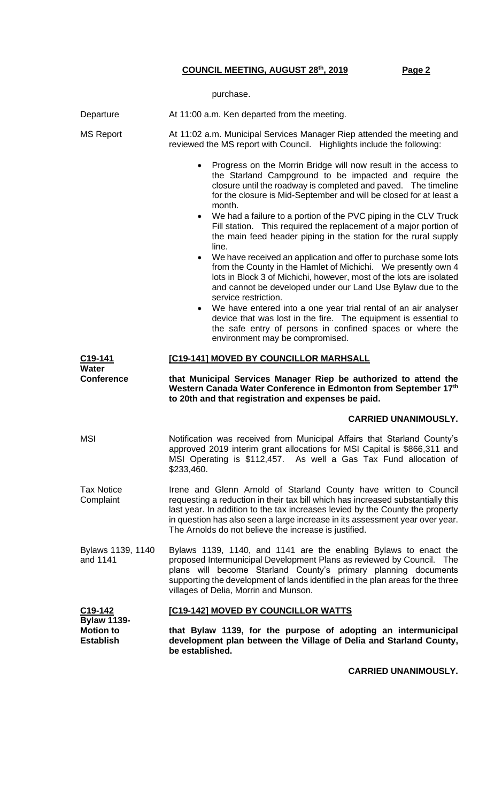purchase.

| Departure                                                                          | At 11:00 a.m. Ken departed from the meeting.                                                                                                                                                                                                                                                                                                                                                                                                                                                                                                  |  |  |  |  |  |
|------------------------------------------------------------------------------------|-----------------------------------------------------------------------------------------------------------------------------------------------------------------------------------------------------------------------------------------------------------------------------------------------------------------------------------------------------------------------------------------------------------------------------------------------------------------------------------------------------------------------------------------------|--|--|--|--|--|
| <b>MS Report</b>                                                                   | At 11:02 a.m. Municipal Services Manager Riep attended the meeting and<br>reviewed the MS report with Council. Highlights include the following:                                                                                                                                                                                                                                                                                                                                                                                              |  |  |  |  |  |
|                                                                                    | Progress on the Morrin Bridge will now result in the access to<br>$\bullet$<br>the Starland Campground to be impacted and require the<br>closure until the roadway is completed and paved. The timeline<br>for the closure is Mid-September and will be closed for at least a<br>month.                                                                                                                                                                                                                                                       |  |  |  |  |  |
|                                                                                    | We had a failure to a portion of the PVC piping in the CLV Truck<br>$\bullet$<br>Fill station. This required the replacement of a major portion of<br>the main feed header piping in the station for the rural supply<br>line.<br>We have received an application and offer to purchase some lots<br>$\bullet$<br>from the County in the Hamlet of Michichi. We presently own 4<br>lots in Block 3 of Michichi, however, most of the lots are isolated<br>and cannot be developed under our Land Use Bylaw due to the<br>service restriction. |  |  |  |  |  |
|                                                                                    |                                                                                                                                                                                                                                                                                                                                                                                                                                                                                                                                               |  |  |  |  |  |
|                                                                                    | We have entered into a one year trial rental of an air analyser<br>$\bullet$<br>device that was lost in the fire. The equipment is essential to<br>the safe entry of persons in confined spaces or where the<br>environment may be compromised.                                                                                                                                                                                                                                                                                               |  |  |  |  |  |
| C <sub>19</sub> -141                                                               | [C19-141] MOVED BY COUNCILLOR MARHSALL                                                                                                                                                                                                                                                                                                                                                                                                                                                                                                        |  |  |  |  |  |
| <b>Water</b><br><b>Conference</b>                                                  | that Municipal Services Manager Riep be authorized to attend the<br>Western Canada Water Conference in Edmonton from September 17th<br>to 20th and that registration and expenses be paid.                                                                                                                                                                                                                                                                                                                                                    |  |  |  |  |  |
|                                                                                    | <b>CARRIED UNANIMOUSLY.</b>                                                                                                                                                                                                                                                                                                                                                                                                                                                                                                                   |  |  |  |  |  |
| <b>MSI</b>                                                                         | Notification was received from Municipal Affairs that Starland County's<br>approved 2019 interim grant allocations for MSI Capital is \$866,311 and<br>MSI Operating is \$112,457. As well a Gas Tax Fund allocation of<br>\$233,460.                                                                                                                                                                                                                                                                                                         |  |  |  |  |  |
| <b>Tax Notice</b><br>Complaint                                                     | Irene and Glenn Arnold of Starland County have written to Council<br>requesting a reduction in their tax bill which has increased substantially this<br>last year. In addition to the tax increases levied by the County the property<br>in question has also seen a large increase in its assessment year over year.<br>The Arnolds do not believe the increase is justified.                                                                                                                                                                |  |  |  |  |  |
| Bylaws 1139, 1140<br>and 1141                                                      | Bylaws 1139, 1140, and 1141 are the enabling Bylaws to enact the<br>proposed Intermunicipal Development Plans as reviewed by Council. The<br>plans will become Starland County's primary planning documents<br>supporting the development of lands identified in the plan areas for the three<br>villages of Delia, Morrin and Munson.                                                                                                                                                                                                        |  |  |  |  |  |
| C <sub>19</sub> -142<br><b>Bylaw 1139-</b><br><b>Motion to</b><br><b>Establish</b> | [C19-142] MOVED BY COUNCILLOR WATTS                                                                                                                                                                                                                                                                                                                                                                                                                                                                                                           |  |  |  |  |  |
|                                                                                    | that Bylaw 1139, for the purpose of adopting an intermunicipal<br>development plan between the Village of Delia and Starland County,<br>be established.                                                                                                                                                                                                                                                                                                                                                                                       |  |  |  |  |  |

**CARRIED UNANIMOUSLY.**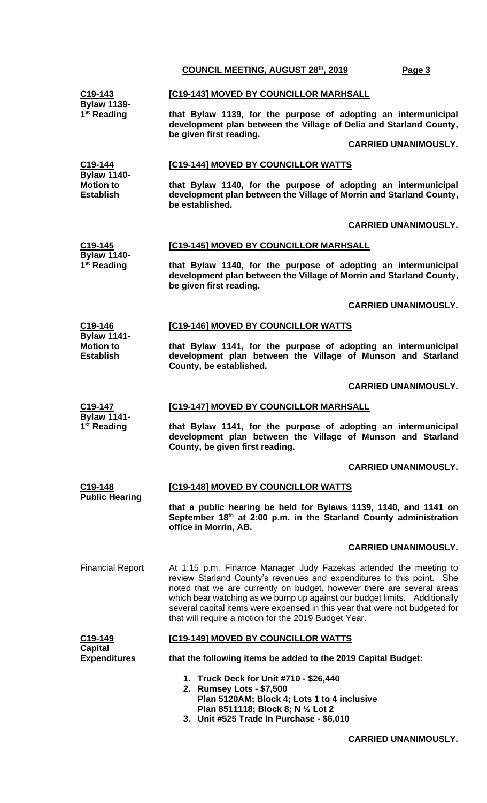|                                                                                    | COUNCIL MEETING, AUGUST 28th, 2019<br>Page 3                                                                                                                                                                                                                                                                                                                                                                                             |  |  |  |
|------------------------------------------------------------------------------------|------------------------------------------------------------------------------------------------------------------------------------------------------------------------------------------------------------------------------------------------------------------------------------------------------------------------------------------------------------------------------------------------------------------------------------------|--|--|--|
| C19-143<br><b>Bylaw 1139-</b>                                                      | [C19-143] MOVED BY COUNCILLOR MARHSALL                                                                                                                                                                                                                                                                                                                                                                                                   |  |  |  |
| 1 <sup>st</sup> Reading                                                            | that Bylaw 1139, for the purpose of adopting an intermunicipal<br>development plan between the Village of Delia and Starland County,<br>be given first reading.                                                                                                                                                                                                                                                                          |  |  |  |
|                                                                                    | <b>CARRIED UNANIMOUSLY.</b>                                                                                                                                                                                                                                                                                                                                                                                                              |  |  |  |
| C <sub>19</sub> -144<br><b>Bylaw 1140-</b><br><b>Motion to</b><br><b>Establish</b> | [C19-144] MOVED BY COUNCILLOR WATTS                                                                                                                                                                                                                                                                                                                                                                                                      |  |  |  |
|                                                                                    | that Bylaw 1140, for the purpose of adopting an intermunicipal<br>development plan between the Village of Morrin and Starland County,<br>be established.                                                                                                                                                                                                                                                                                 |  |  |  |
|                                                                                    | <b>CARRIED UNANIMOUSLY.</b>                                                                                                                                                                                                                                                                                                                                                                                                              |  |  |  |
| C <sub>19</sub> -145<br><b>Bylaw 1140-</b><br>1 <sup>st</sup> Reading              | [C19-145] MOVED BY COUNCILLOR MARHSALL                                                                                                                                                                                                                                                                                                                                                                                                   |  |  |  |
|                                                                                    | that Bylaw 1140, for the purpose of adopting an intermunicipal<br>development plan between the Village of Morrin and Starland County,<br>be given first reading.                                                                                                                                                                                                                                                                         |  |  |  |
|                                                                                    | <b>CARRIED UNANIMOUSLY.</b>                                                                                                                                                                                                                                                                                                                                                                                                              |  |  |  |
| C19-146                                                                            | [C19-146] MOVED BY COUNCILLOR WATTS                                                                                                                                                                                                                                                                                                                                                                                                      |  |  |  |
| <b>Bylaw 1141-</b><br><b>Motion to</b><br><b>Establish</b>                         | that Bylaw 1141, for the purpose of adopting an intermunicipal<br>development plan between the Village of Munson and Starland<br>County, be established.                                                                                                                                                                                                                                                                                 |  |  |  |
|                                                                                    | <b>CARRIED UNANIMOUSLY.</b>                                                                                                                                                                                                                                                                                                                                                                                                              |  |  |  |
|                                                                                    |                                                                                                                                                                                                                                                                                                                                                                                                                                          |  |  |  |
| C19-147                                                                            | [C19-147] MOVED BY COUNCILLOR MARHSALL                                                                                                                                                                                                                                                                                                                                                                                                   |  |  |  |
| <b>Bylaw 1141-</b><br>1 <sup>st</sup> Reading                                      | that Bylaw 1141, for the purpose of adopting an intermunicipal<br>development plan between the Village of Munson and Starland<br>County, be given first reading.                                                                                                                                                                                                                                                                         |  |  |  |
|                                                                                    | <b>CARRIED UNANIMOUSLY.</b>                                                                                                                                                                                                                                                                                                                                                                                                              |  |  |  |
| C19-148                                                                            | <b>[C19-148] MOVED BY COUNCILLOR WATTS</b>                                                                                                                                                                                                                                                                                                                                                                                               |  |  |  |
| <b>Public Hearing</b>                                                              | that a public hearing be held for Bylaws 1139, 1140, and 1141 on<br>September 18th at 2:00 p.m. in the Starland County administration<br>office in Morrin, AB.                                                                                                                                                                                                                                                                           |  |  |  |
|                                                                                    | <b>CARRIED UNANIMOUSLY.</b>                                                                                                                                                                                                                                                                                                                                                                                                              |  |  |  |
| <b>Financial Report</b>                                                            | At 1:15 p.m. Finance Manager Judy Fazekas attended the meeting to<br>review Starland County's revenues and expenditures to this point. She<br>noted that we are currently on budget, however there are several areas<br>which bear watching as we bump up against our budget limits. Additionally<br>several capital items were expensed in this year that were not budgeted for<br>that will require a motion for the 2019 Budget Year. |  |  |  |
| C <sub>19</sub> -149                                                               | [C19-149] MOVED BY COUNCILLOR WATTS                                                                                                                                                                                                                                                                                                                                                                                                      |  |  |  |
| <b>Capital</b><br><b>Expenditures</b>                                              | that the following items be added to the 2019 Capital Budget:                                                                                                                                                                                                                                                                                                                                                                            |  |  |  |

**CARRIED UNANIMOUSLY.**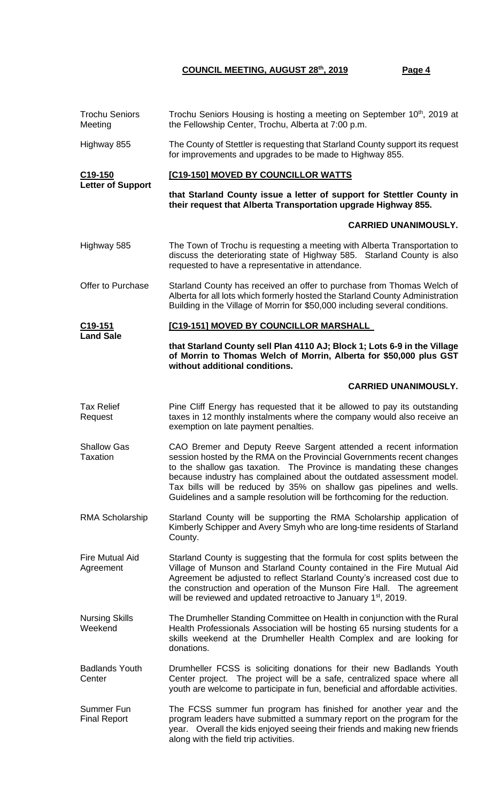| <b>Trochu Seniors</b><br>Meeting      | Trochu Seniors Housing is hosting a meeting on September 10 <sup>th</sup> , 2019 at<br>the Fellowship Center, Trochu, Alberta at 7:00 p.m.                                                                                                                                                                                                                                                                                                       |  |  |  |
|---------------------------------------|--------------------------------------------------------------------------------------------------------------------------------------------------------------------------------------------------------------------------------------------------------------------------------------------------------------------------------------------------------------------------------------------------------------------------------------------------|--|--|--|
| Highway 855                           | The County of Stettler is requesting that Starland County support its request<br>for improvements and upgrades to be made to Highway 855.                                                                                                                                                                                                                                                                                                        |  |  |  |
| C <sub>19</sub> -150                  | [C19-150] MOVED BY COUNCILLOR WATTS                                                                                                                                                                                                                                                                                                                                                                                                              |  |  |  |
| <b>Letter of Support</b>              | that Starland County issue a letter of support for Stettler County in<br>their request that Alberta Transportation upgrade Highway 855.                                                                                                                                                                                                                                                                                                          |  |  |  |
|                                       | <b>CARRIED UNANIMOUSLY.</b>                                                                                                                                                                                                                                                                                                                                                                                                                      |  |  |  |
| Highway 585                           | The Town of Trochu is requesting a meeting with Alberta Transportation to<br>discuss the deteriorating state of Highway 585. Starland County is also<br>requested to have a representative in attendance.                                                                                                                                                                                                                                        |  |  |  |
| Offer to Purchase                     | Starland County has received an offer to purchase from Thomas Welch of<br>Alberta for all lots which formerly hosted the Starland County Administration<br>Building in the Village of Morrin for \$50,000 including several conditions.                                                                                                                                                                                                          |  |  |  |
| $C19 - 151$                           | [C19-151] MOVED BY COUNCILLOR MARSHALL                                                                                                                                                                                                                                                                                                                                                                                                           |  |  |  |
| <b>Land Sale</b>                      | that Starland County sell Plan 4110 AJ; Block 1; Lots 6-9 in the Village<br>of Morrin to Thomas Welch of Morrin, Alberta for \$50,000 plus GST<br>without additional conditions.                                                                                                                                                                                                                                                                 |  |  |  |
|                                       | <b>CARRIED UNANIMOUSLY.</b>                                                                                                                                                                                                                                                                                                                                                                                                                      |  |  |  |
| <b>Tax Relief</b><br>Request          | Pine Cliff Energy has requested that it be allowed to pay its outstanding<br>taxes in 12 monthly instalments where the company would also receive an<br>exemption on late payment penalties.                                                                                                                                                                                                                                                     |  |  |  |
| <b>Shallow Gas</b><br><b>Taxation</b> | CAO Bremer and Deputy Reeve Sargent attended a recent information<br>session hosted by the RMA on the Provincial Governments recent changes<br>to the shallow gas taxation. The Province is mandating these changes<br>because industry has complained about the outdated assessment model.<br>Tax bills will be reduced by 35% on shallow gas pipelines and wells.<br>Guidelines and a sample resolution will be forthcoming for the reduction. |  |  |  |
| <b>RMA Scholarship</b>                | Starland County will be supporting the RMA Scholarship application of<br>Kimberly Schipper and Avery Smyh who are long-time residents of Starland<br>County.                                                                                                                                                                                                                                                                                     |  |  |  |
| <b>Fire Mutual Aid</b><br>Agreement   | Starland County is suggesting that the formula for cost splits between the<br>Village of Munson and Starland County contained in the Fire Mutual Aid<br>Agreement be adjusted to reflect Starland County's increased cost due to<br>the construction and operation of the Munson Fire Hall. The agreement<br>will be reviewed and updated retroactive to January 1 <sup>st</sup> , 2019.                                                         |  |  |  |
| <b>Nursing Skills</b><br>Weekend      | The Drumheller Standing Committee on Health in conjunction with the Rural<br>Health Professionals Association will be hosting 65 nursing students for a<br>skills weekend at the Drumheller Health Complex and are looking for<br>donations.                                                                                                                                                                                                     |  |  |  |
| <b>Badlands Youth</b><br>Center       | Drumheller FCSS is soliciting donations for their new Badlands Youth<br>Center project. The project will be a safe, centralized space where all<br>youth are welcome to participate in fun, beneficial and affordable activities.                                                                                                                                                                                                                |  |  |  |
| Summer Fun<br><b>Final Report</b>     | The FCSS summer fun program has finished for another year and the<br>program leaders have submitted a summary report on the program for the<br>year. Overall the kids enjoyed seeing their friends and making new friends<br>along with the field trip activities.                                                                                                                                                                               |  |  |  |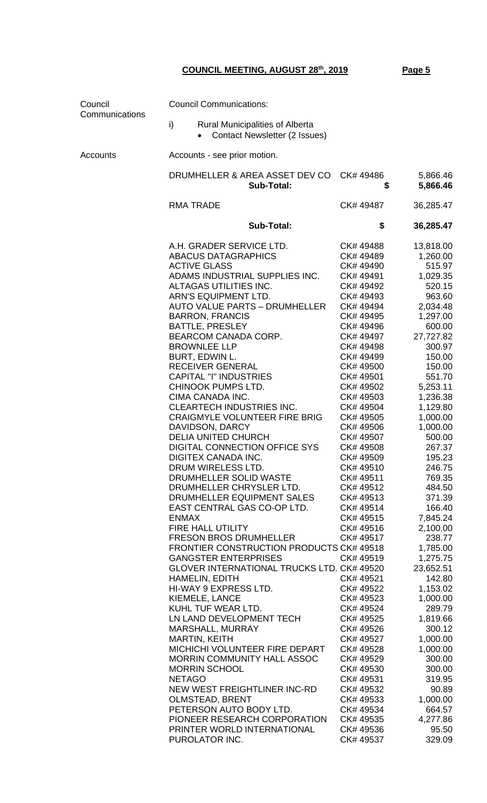**Council** Communications Council Communications: i) Rural Municipalities of Alberta • Contact Newsletter (2 Issues) Accounts Accounts - see prior motion. DRUMHELLER & AREA ASSET DEV CO CK# 49486 5,866.46  **Sub-Total: \$ 5,866.46** RMA TRADE **CK# 49487** 36,285.47  **Sub-Total: \$ 36,285.47** A.H. GRADER SERVICE LTD. CK# 49488 13,818.00 ABACUS DATAGRAPHICS CK# 49489 1,260.00 ACTIVE GLASS 615.97 ADAMS INDUSTRIAL SUPPLIES INC. CK# 49491 1,029.35 ALTAGAS UTILITIES INC. CK# 49492 520.15 ARN'S EQUIPMENT LTD. CK# 49493 963.60 AUTO VALUE PARTS – DRUMHELLER CK# 49494 2,034.48 BARRON, FRANCIS CK# 49495 1,297.00 BATTLE, PRESLEY CK# 49496 600.00 BEARCOM CANADA CORP. CK# 49497 27,727.82 BROWNLEE LLP CK# 49498 300.97 BURT, EDWIN L. CK# 49499 150.00 RECEIVER GENERAL **CK# 49500** 150.00 CAPITAL "I" INDUSTRIES CK# 49501 551.70 CHINOOK PUMPS LTD. CK# 49502 5,253.11 CIMA CANADA INC. CK# 49503 1,236.38 CLEARTECH INDUSTRIES INC. CK# 49504 1,129.80 CRAIGMYLE VOLUNTEER FIRE BRIG CK# 49505 1,000.00 DAVIDSON, DARCY CK# 49506 1,000.00 DELIA UNITED CHURCH CK# 49507 500.00 DIGITAL CONNECTION OFFICE SYS CK# 49508 267.37 DIGITEX CANADA INC. CK# 49509 195.23 DRUM WIRELESS LTD. CK# 49510 246.75 DRUMHELLER SOLID WASTE CK# 49511 769.35 DRUMHELLER CHRYSLER LTD. CK# 49512 484.50 DRUMHELLER EQUIPMENT SALES CK# 49513 371.39 EAST CENTRAL GAS CO-OP LTD. CK# 49514 166.40 ENMAX CK# 49515 7,845.24 FIRE HALL UTILITY CK# 49516 2,100.00 FRESON BROS DRUMHELLER CK# 49517 238.77 FRONTIER CONSTRUCTION PRODUCTS CK# 49518 1,785.00 GANGSTER ENTERPRISES CK# 49519 1,275.75 GLOVER INTERNATIONAL TRUCKS LTD. CK# 49520 23,652.51 HAMELIN, EDITH **CK#** 49521 142.80 HI-WAY 9 EXPRESS LTD. CK# 49522 1,153.02 KIEMELE, LANCE CK# 49523 1,000.00 KUHL TUF WEAR LTD. CK# 49524 289.79 LN LAND DEVELOPMENT TECH CK# 49525 1,819.66 MARSHALL, MURRAY CK# 49526 300.12 MARTIN, KEITH CK# 49527 1,000.00 MICHICHI VOLUNTEER FIRE DEPART CK# 49528 1,000.00 MORRIN COMMUNITY HALL ASSOC CK# 49529 300.00 MORRIN SCHOOL CK# 49530 300.00 NETAGO CK# 49531 319.95 NEW WEST FREIGHTLINER INC-RD CK# 49532 90.89 OLMSTEAD, BRENT CK# 49533 1,000.00 PETERSON AUTO BODY LTD. CK# 49534 664.57 PIONEER RESEARCH CORPORATION CK# 49535 4,277.86 PRINTER WORLD INTERNATIONAL CK# 49536 95.50 PUROLATOR INC. CK# 49537 329.09